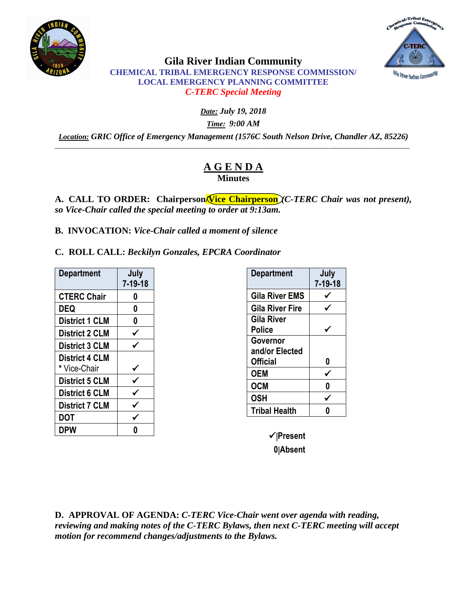



# **Gila River Indian Community CHEMICAL TRIBAL EMERGENCY RESPONSE COMMISSION/ LOCAL EMERGENCY PLANNING COMMITTEE** *C-TERC Special Meeting*

*Date: July 19, 2018*

*Time: 9:00 AM*

*Location: GRIC Office of Emergency Management (1576C South Nelson Drive, Chandler AZ, 85226)* \_\_\_\_\_\_\_\_\_\_\_\_\_\_\_\_\_\_\_\_\_\_\_\_\_\_\_\_\_\_\_\_\_\_\_\_\_\_\_\_\_\_\_\_\_\_\_\_\_\_\_\_\_\_\_\_\_\_\_\_\_\_\_\_\_\_\_\_\_\_\_\_\_\_\_\_\_\_\_\_\_\_\_\_\_\_\_\_\_\_\_\_\_

# **A G E N D A Minutes**

A. **CALL TO ORDER:** Chairperson **Vice Chairperson**  $\chi$ *C-TERC Chair was not present*), *so Vice-Chair called the special meeting to order at 9:13am.*

**B. INVOCATION:** *Vice-Chair called a moment of silence*

**C. ROLL CALL:** *Beckilyn Gonzales, EPCRA Coordinator*

| <b>Department</b>     | July<br>$7 - 19 - 18$ |
|-----------------------|-----------------------|
| <b>CTERC Chair</b>    | 0                     |
| DEQ                   | 0                     |
| <b>District 1 CLM</b> | 0                     |
| <b>District 2 CLM</b> |                       |
| <b>District 3 CLM</b> |                       |
| <b>District 4 CLM</b> |                       |
| * Vice-Chair          |                       |
| <b>District 5 CLM</b> |                       |
| <b>District 6 CLM</b> |                       |
| <b>District 7 CLM</b> |                       |
| <b>DOT</b>            |                       |
| DPW                   |                       |

| <b>Department</b>      | July<br>$7 - 19 - 18$ |
|------------------------|-----------------------|
| <b>Gila River EMS</b>  |                       |
| <b>Gila River Fire</b> |                       |
| Gila River             |                       |
| Police                 |                       |
| Governor               |                       |
| and/or Elected         |                       |
| <b>Official</b>        | 0                     |
| <b>OEM</b>             |                       |
| <b>OCM</b>             |                       |
| <b>OSH</b>             |                       |
| <b>Tribal Health</b>   |                       |
|                        |                       |

**Present 0Absent**

**D. APPROVAL OF AGENDA:** *C-TERC Vice-Chair went over agenda with reading, reviewing and making notes of the C-TERC Bylaws, then next C-TERC meeting will accept motion for recommend changes/adjustments to the Bylaws.*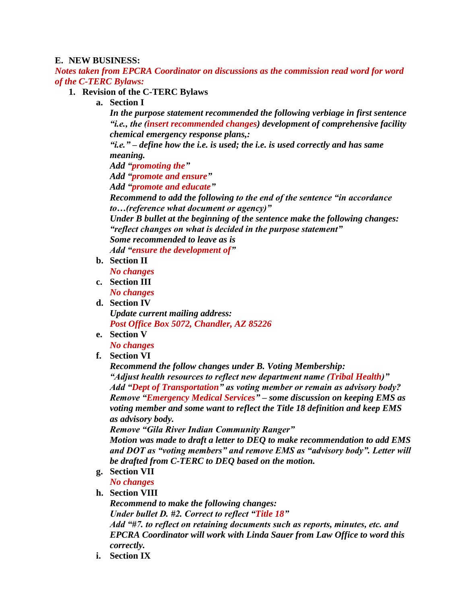## **E. NEW BUSINESS:**

*Notes taken from EPCRA Coordinator on discussions as the commission read word for word of the C-TERC Bylaws:*

## **1. Revision of the C-TERC Bylaws**

**a. Section I**

*In the purpose statement recommended the following verbiage in first sentence "i.e., the (insert recommended changes) development of comprehensive facility chemical emergency response plans,:*

*"i.e." – define how the i.e. is used; the i.e. is used correctly and has same meaning.* 

*Add "promoting the"*

*Add "promote and ensure"*

*Add "promote and educate"*

*Recommend to add the following to the end of the sentence "in accordance to…(reference what document or agency)"*

*Under B bullet at the beginning of the sentence make the following changes: "reflect changes on what is decided in the purpose statement"*

*Some recommended to leave as is Add "ensure the development of"*

**b. Section II**

*No changes*

- **c. Section III** *No changes*
- **d. Section IV** *Update current mailing address: Post Office Box 5072, Chandler, AZ 85226*
- **e. Section V**

*No changes*

**f. Section VI**

*Recommend the follow changes under B. Voting Membership:*

*"Adjust health resources to reflect new department name (Tribal Health)" Add "Dept of Transportation" as voting member or remain as advisory body? Remove "Emergency Medical Services" – some discussion on keeping EMS as voting member and some want to reflect the Title 18 definition and keep EMS as advisory body.* 

*Remove "Gila River Indian Community Ranger"*

*Motion was made to draft a letter to DEQ to make recommendation to add EMS and DOT as "voting members" and remove EMS as "advisory body". Letter will be drafted from C-TERC to DEQ based on the motion.* 

**g. Section VII**

*No changes*

#### **h. Section VIII**

*Recommend to make the following changes: Under bullet D. #2. Correct to reflect "Title 18" Add "#7. to reflect on retaining documents such as reports, minutes, etc. and EPCRA Coordinator will work with Linda Sauer from Law Office to word this correctly.* 

**i. Section IX**